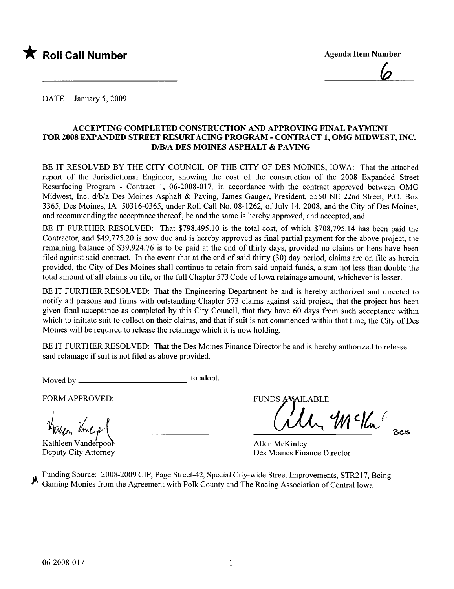

<u>Ø</u>

DATE January 5, 2009

#### ACCEPTING COMPLETED CONSTRUCTION AND APPROVING FINAL PAYMENT FOR 2008 EXPANDED STREET RESURFACING PROGRAM - CONTRACT 1, OMG MIDWEST, INC. D/B/A DES MOINES ASPHALT & PAVING

BE IT RESOLVED BY THE CITY COUNCIL OF THE CITY OF DES MOINES, IOWA: That the attached report of the Jurisdictional Engineer, showing the cost of the construction of the 2008 Expanded Street Resurfacing Program - Contract 1, 06-2008-017, in accordance with the contract approved between OMG Midwest, Inc. d/b/a Des Moines Asphalt & Paving, James Gauger, President, 5550 NE 22nd Street, P.O. Box 3365, Des Moines, IA 50316-0365, under Roll Call No. 08-1262, of July 14,2008, and the City of Des Moines, and recommending the acceptance thereof, be and the same is hereby approved, and accepted, and

BE IT FURTHER RESOLVED: That \$798,495.10 is the total cost, of which \$708,795.14 has been paid the Contractor, and \$49,775.20 is now due and is hereby approved as final partial payment for the above project, the remaining balance of \$39,924.76 is to be paid at the end of thirty days, provided no claims or liens have been filed against said contract. In the event that at the end of said thirty  $(30)$  day period, claims are on file as herein provided, the City of Des Moines shall continue to retain from said unpaid funds, a sum not less than double the total amount of all claims on file, or the full Chapter 573 Code of Iowa retainage amount, whichever is lesser.

BE IT FURTHER RESOLVED: That the Engineering Department be and is hereby authorized and directed to notify all persons and firms with outstanding Chapter 573 claims against said project, that the project has been given final acceptance as completed by this City Council, that they have 60 days from such acceptance within which to initiate suit to collect on their claims, and that if suit is not commenced within that time, the City of Des Moines will be required to release the retainage which it is now holding.

BE IT FURTHER RESOLVED: That the Des Moines Finance Director be and is hereby authorized to release said retainage if suit is not fied as above provided.

Moved by to adopt.

FORM APPROVED:

Harley Vinegal

Kathleen Vanderpool Deputy City Attorney

**FUNDS AVAILABLE** 

 $\mu$   $\mathcal{W}$  c/ka

Allen McKinley Des Moines Finance Director

Funding Source: 2008-2009 CIP, Page Street-42, Special City-wide Street Improvements, STR217, Being: Gaming Monies from the Agreement with Polk County and The Racing Association of Central Iowa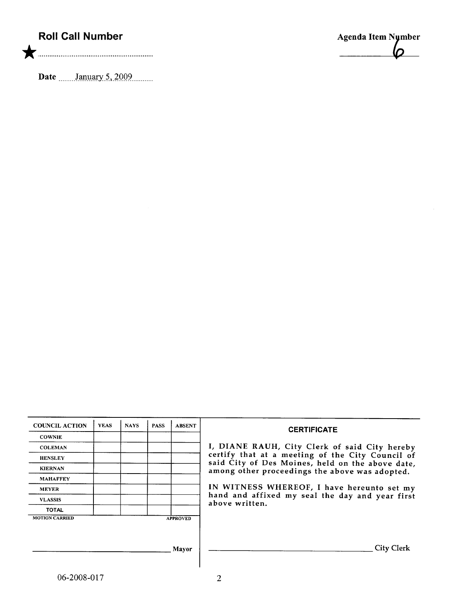## Roll Call Number

\* ............. .......... .... ............... ............

Date .......January 5, 2009.........



| <b>COUNCIL ACTION</b> | <b>YEAS</b> | <b>NAYS</b> | <b>PASS</b> | <b>ABSENT</b>   | <b>CERTIFICATE</b>                                                                                 |
|-----------------------|-------------|-------------|-------------|-----------------|----------------------------------------------------------------------------------------------------|
| <b>COWNIE</b>         |             |             |             |                 |                                                                                                    |
| <b>COLEMAN</b>        |             |             |             |                 | I, DIANE RAUH, City Clerk of said City hereby                                                      |
| <b>HENSLEY</b>        |             |             |             |                 | certify that at a meeting of the City Council of                                                   |
| <b>KIERNAN</b>        |             |             |             |                 | said City of Des Moines, held on the above date,<br>among other proceedings the above was adopted. |
| <b>MAHAFFEY</b>       |             |             |             |                 |                                                                                                    |
| <b>MEYER</b>          |             |             |             |                 | IN WITNESS WHEREOF, I have hereunto set my                                                         |
| <b>VLASSIS</b>        |             |             |             |                 | hand and affixed my seal the day and year first<br>above written.                                  |
| <b>TOTAL</b>          |             |             |             |                 |                                                                                                    |
| <b>MOTION CARRIED</b> |             |             |             | <b>APPROVED</b> |                                                                                                    |
|                       |             |             |             |                 |                                                                                                    |
|                       |             |             |             |                 |                                                                                                    |
|                       |             |             |             | <b>Mayor</b>    | <b>City Clerk</b>                                                                                  |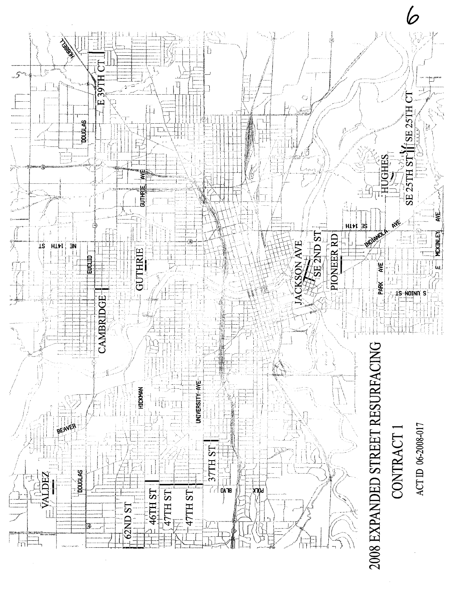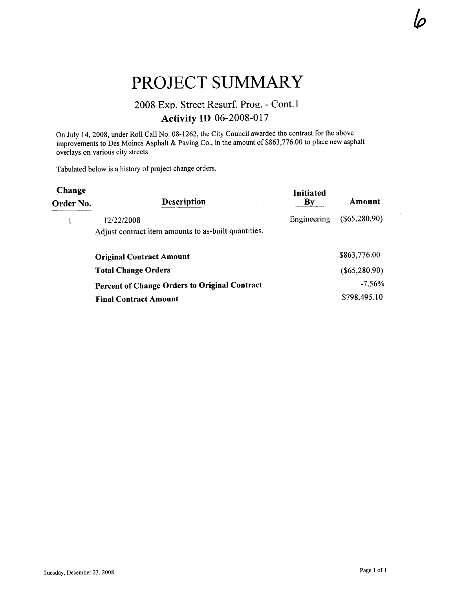# PROJECT SUMMARY

### 2008 Exp. Street Resurf. Prog. - Cont.l Activity ID 06-2008-017

On July 14, 2008, under Roll Call No. 08-1262, the City Council awarded the contract for the above improvements to Des Moines Asphalt & Paving Co., in the amount of \$863,776.00 to place new asphalt overlays on various city streets.

Tabulated below is a history of project change orders.

 $\bar{z}$ 

| Change<br>Order No. | <b>Description</b>                                   | <b>Initiated</b><br>By | Amount          |
|---------------------|------------------------------------------------------|------------------------|-----------------|
|                     | 12/22/2008                                           | Engineering            | $(\$65,280.90)$ |
|                     | Adjust contract item amounts to as-built quantities. |                        |                 |
|                     | <b>Original Contract Amount</b>                      |                        | \$863,776.00    |
|                     | <b>Total Change Orders</b>                           |                        | $(\$65,280.90)$ |
|                     | <b>Percent of Change Orders to Original Contract</b> |                        | $-7.56%$        |
|                     | <b>Final Contract Amount</b>                         |                        | \$798,495.10    |

 $\varphi$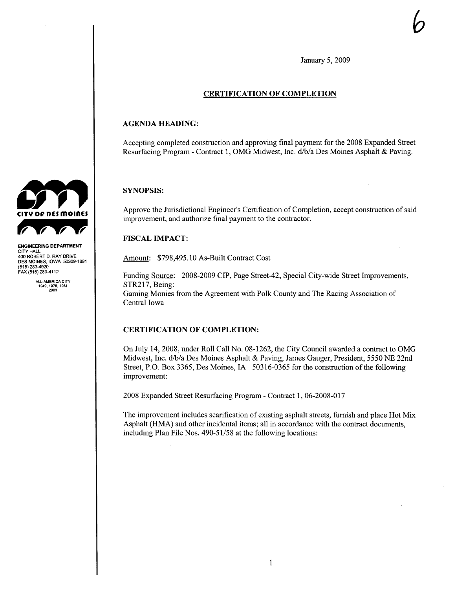January 5, 2009

b

#### CERTIFICATION OF COMPLETION

#### AGENDA HEADING:

Accepting completed construction and approving final payment for the 2008 Expanded Street Resurfacing Program - Contract 1, OMG Midwest, Inc. d/b/a Des Moines Asphalt & Paving.

#### SYNOPSIS:

Approve the Jurisdictional Engineer's Certification of Completion, accept construction of said improvement, and authorize final payment to the contractor.

#### FISCAL IMPACT:

Amount: \$798,495.10 As-Built Contract Cost

Funding Source: 2008-2009 CIP, Page Street-42, Special City-wide Street Improvements, STR217, Being: Gaming Monies from the Agreement with Polk County and The Racing Association of Central Iowa

#### CERTIFICATION OF COMPLETION:

On July 14, 2008, under Roll Call No. 08-1262, the City Council awarded a contract to OMG Midwest, Inc. d/b/a Des Moines Asphalt & Paving, James Gauger, President, 5550 NE 22nd Street, P.O. Box 3365, Des Moines, IA 50316-0365 for the construction of the following improvement:

2008 Expanded Street Resurfacing Program - Contract I, 06-2008-017

The improvement includes scarification of existing asphalt streets, furnish and place Hot Mix Asphalt (HMA) and other incidental items; all in accordance with the contract documents, including Plan File Nos. 490-51/58 at the following locations:



ENGINEERING DEPARTMENT CITY HALL 400 ROBERT D. RAY DRIVE DES MOINES, IOWA 50309.1891 (515) 283-4920 FAX (515) 283-4112

ALL.AMERICA CITY 1949,1976.1981 2003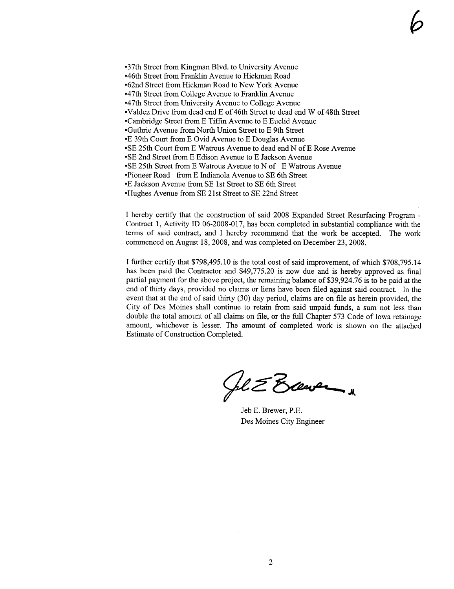-37th Street from Kingman Blvd. to University Avenue -46th Street from Franlin Avenue to Hickman Road •62nd Street from Hickman Road to New York Avenue -47th Street from College Avenue to Franklin Avenue -47th Street from University Avenue to College Avenue -Valdez Drive from dead end E of 46th Street to dead end W of 48th Street -Cambridge Street from E Tiffin Avenue to E Euclid Avenue •Guthrie Avenue from North Union Street to E 9th Street -E 39th Court from E Ovid Avenue to E Douglas Avenue -SE 25th Court from E Watrous Avenue to dead end N ofE Rose Avenue -SE 2nd Street from E Edison Avenue to E Jackson Avenue -SE 25th Street from E Watrous Avenue to N of E Watrous Avenue -Pioneer Road from E Indianola Avenue to SE 6th Street -E Jackson Avenue from SE 1st Street to SE 6th Street

-Hughes Avenue from SE 21st Street to SE 22nd Street

I hereby certify that the construction of said 2008 Expanded Street Resurfacing Program - Contract 1, Activity ID 06-2008-017, has been completed in substantial compliance with the terms of said contract, and I hereby recommend that the work be accepted. The work commenced on August 18,2008, and was completed on December 23,2008.

 $\varphi$ 

I further certify that \$798,495.10 is the total cost of said improvement, of which \$708,795.14 has been paid the Contractor and \$49,775.20 is now due and is hereby approved as final partial payment for the above project, the remaining balance of \$39,924.76 is to be paid at the end of thirty days, provided no claims or liens have been filed against said contract. In the event that at the end of said thirty (30) day period, claims are on fie as herein provided, the City of Des Moines shall continue to retain from said unpaid funds, a sum not less than double the total amount of all claims on fie, or the full Chapter 573 Code of Iowa retainage amount, whichever is lesser. The amount of completed work is shown on the attached Estimate of Construction Completed.

fl & Brever

Jeb E. Brewer, P.E. Des Moines City Engineer